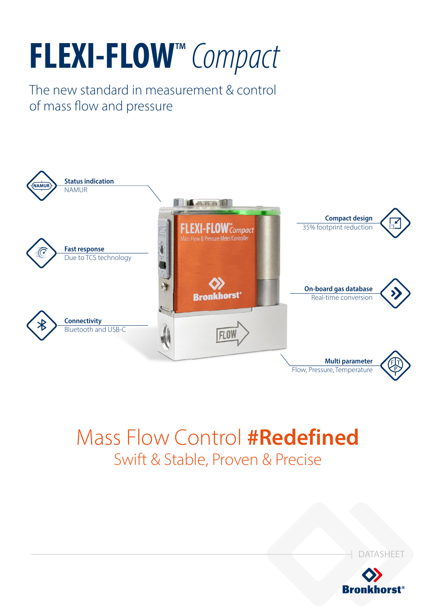# **FLEXI-FLOW**™ *Compact*

The new standard in measurement & control of mass flow and pressure



# Mass Flow Control **#Redefined** Swift & Stable, Proven & Precise



DATASHEET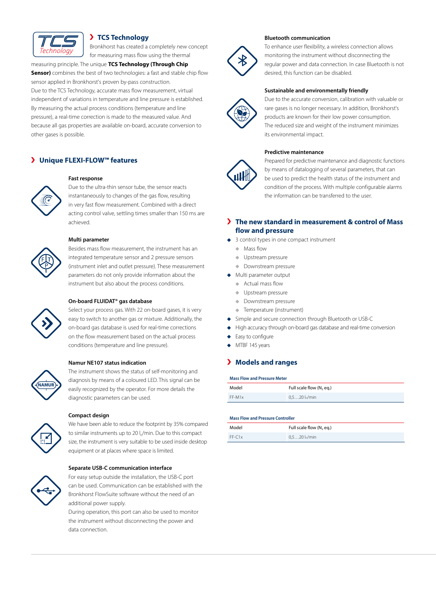

# **TCS Technology**

Bronkhorst has created a completely new concept for measuring mass flow using the thermal

# measuring principle. The unique **TCS Technology (Through Chip**

**Sensor)** combines the best of two technologies: a fast and stable chip flow sensor applied in Bronkhorst's proven by-pass construction. Due to the TCS Technology, accurate mass flow measurement, virtual independent of variations in temperature and line pressure is established. By measuring the actual process conditions (temperature and line pressure), a real-time correction is made to the measured value. And because all gas properties are available on-board, accurate conversion to other gases is possible.

# **Unique FLEXI-FLOW™ features**

#### **Fast response**

Due to the ultra-thin sensor tube, the sensor reacts instantaneously to changes of the gas flow, resulting in very fast flow measurement. Combined with a direct acting control valve, settling times smaller than 150 ms are achieved.



#### **Multi parameter**

Besides mass flow measurement, the instrument has an integrated temperature sensor and 2 pressure sensors (instrument inlet and outlet pressure). These measurement parameters do not only provide information about the instrument but also about the process conditions.

#### **On-board FLUIDAT® gas database**

Select your process gas. With 22 on-board gases, it is very easy to switch to another gas or mixture. Additionally, the on-board gas database is used for real-time corrections on the flow measurement based on the actual process conditions (temperature and line pressure).

# **NAMUR**

#### **Namur NE107 status indication**

The instrument shows the status of self-monitoring and diagnosis by means of a coloured LED. This signal can be easily recognized by the operator. For more details the diagnostic parameters can be used.

# **Compact design**

We have been able to reduce the footprint by 35% compared to similar instruments up to 20 l<sub>n</sub>/min. Due to this compact size, the instrument is very suitable to be used inside desktop equipment or at places where space is limited.



#### **Separate USB-C communication interface**

For easy setup outside the installation, the USB-C port can be used. Communication can be established with the Bronkhorst FlowSuite software without the need of an additional power supply.

During operation, this port can also be used to monitor the instrument without disconnecting the power and data connection.

#### **Bluetooth communication**



To enhance user flexibility, a wireless connection allows monitoring the instrument without disconnecting the regular power and data connection. In case Bluetooth is not desired, this function can be disabled.

#### **Sustainable and environmentally friendly**



Due to the accurate conversion, calibration with valuable or rare gases is no longer necessary. In addition, Bronkhorst's products are known for their low power consumption. The reduced size and weight of the instrument minimizes its environmental impact.

#### **Predictive maintenance**



Prepared for predictive maintenance and diagnostic functions by means of datalogging of several parameters, that can be used to predict the health status of the instrument and condition of the process. With multiple configurable alarms the information can be transferred to the user.

# **The new standard in measurement & control of Mass flow and pressure**

- ◆ 3 control types in one compact instrument
	- **Mass flow**
	- **↓** Upstream pressure
	- **Downstream pressure**
- Multi parameter output
	- Actual mass flow
	- **Upstream pressure**
	- ◆ Downstream pressure
	- Temperature (instrument)
- Simple and secure connection through Bluetooth or USB-C
- High accuracy through on-board gas database and real-time conversion
- Easy to configure
- MTBF 145 years

# **Models and ranges**

#### **Mass Flow and Pressure Meter**

| Model    | Full scale flow $(N, eq.)$  |
|----------|-----------------------------|
| $FF-M1x$ | $0.520$ l <sub>n</sub> /min |

#### **Mass Flow and Pressure Controller**

| Model    | Full scale flow (N, eq.)    |
|----------|-----------------------------|
| $FF-C1x$ | $0.520$ l <sub>n</sub> /min |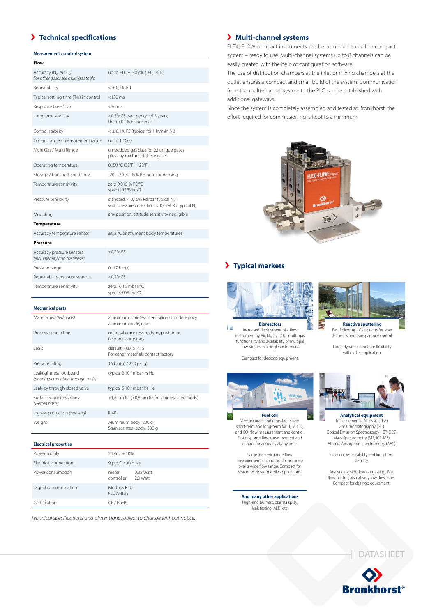# **Technical specifications**

#### **Measurement / control system**

| Flow                                                                                    |                                                                                                                  |
|-----------------------------------------------------------------------------------------|------------------------------------------------------------------------------------------------------------------|
| Accuracy (N <sub>2</sub> , Air, O <sub>2</sub> )<br>For other gases see multi gas table | up to $\pm 0.5\%$ Rd plus $\pm 0.1\%$ FS                                                                         |
| Repeatability                                                                           | $< \pm 0.2\%$ Rd                                                                                                 |
| Typical settling time (T98) in control                                                  | $<$ 150 $\,$ ms                                                                                                  |
| Response time (T63)                                                                     | $<$ 30 ms                                                                                                        |
| Long term stability                                                                     | <0.5% FS over period of 3 years,<br>then <0.2% FS per year                                                       |
| Control stability                                                                       | $<$ $\pm$ 0,1% FS (typical for 1 ln/min N <sub>2</sub> )                                                         |
| Control range / measurement range                                                       | up to 1:1000                                                                                                     |
| Multi Gas / Multi Range                                                                 | embedded gas data for 22 unique gases<br>plus any mixture of these gases                                         |
| Operating temperature                                                                   | 050 °C (32°F - 122°F)                                                                                            |
| Storage / transport conditions                                                          | -2070 °C, 95% RH non-condensing                                                                                  |
| Temperature sensitivity                                                                 | zero 0.015 % FS/°C<br>span 0,03 % Rd/°C                                                                          |
| Pressure sensitivity                                                                    | standard: < 0,15% Rd/bar typical N <sub>2</sub> ;<br>with pressure correction: < 0,02% Rd typical N <sub>2</sub> |
| Mounting                                                                                | any position, attitude sensitivity negligible                                                                    |
| <b>Temperature</b>                                                                      |                                                                                                                  |
| Accuracy temperature sensor                                                             | ±0,2 °C (instrument body temperature)                                                                            |
| Pressure                                                                                |                                                                                                                  |
| Accuracy pressure sensors<br>(incl. linearity and hysteresis)                           | $\pm 0.5%$ FS                                                                                                    |
| Pressure range                                                                          | $017$ bar(a)                                                                                                     |
| Repeatability pressure sensors                                                          | $<$ 0,2% FS                                                                                                      |
| Temperature sensitivity                                                                 | zero: 0,16 mbar/°C<br>span: 0,05% Rd/°C                                                                          |

#### **Mechanical parts**

| Material (wetted parts)                                        | aluminium, stainless steel, silicon nitride, epoxy,<br>aluminiumoxide, glass |
|----------------------------------------------------------------|------------------------------------------------------------------------------|
| Process connections                                            | optional compression type, push-in or<br>face seal couplings                 |
| Seals                                                          | default: FKM 51415<br>For other materials contact factory                    |
| Pressure rating                                                | 16 bar(g) / 250 psi(g)                                                       |
| Leaktightness, outboard<br>(prior to permeation through seals) | typical 2-10 <sup>-9</sup> mbar. /s He                                       |
| Leak-by through closed valve                                   | typical 5-10 <sup>-5</sup> mbar-l/s He                                       |
| Surface roughness body<br>(wetted parts)                       | <1,6 µm Ra (<0,8 µm Ra for stainless steel body)                             |
| Ingress protection (housing)                                   | IP40                                                                         |
| Weight                                                         | Aluminium body: 200 g<br>Stainless steel body: 300 g                         |
| <b>Electrical properties</b>                                   |                                                                              |

| Power supply          | 24 Vdc + 10%                                 |  |
|-----------------------|----------------------------------------------|--|
| Electrical connection | 9-pin D-sub male                             |  |
| Power consumption     | 0.35 Watt<br>meter<br>controller<br>2.0 Watt |  |
| Digital communication | Modbus RTU<br><b>FLOW-BUS</b>                |  |
| Certification         | CE / RoHS                                    |  |

*Technical specifications and dimensions subject to change without notice.*

# **Multi-channel systems**

FLEXI-FLOW compact instruments can be combined to build a compact system – ready to use. Multi-channel systems up to 8 channels can be easily created with the help of configuration software.

The use of distribution chambers at the inlet or mixing chambers at the outlet ensures a compact and small build of the system. Communication from the multi-channel system to the PLC can be established with additional gateways.

Since the system is completely assembled and tested at Bronkhorst, the effort required for commissioning is kept to a minimum.



# **Typical markets**



**Bioreactors** Ìd Increased deployment of a flow instrument by Air,  $N_2$ ,  $O_2$ ,  $CO_2$  - multi-gas functionality and availability of multiple flow ranges in a single instrument.

Compact for desktop equipment.



Very accurate and repeatable over short-term and long-term for  $H_2$ , Air,  $O_2$ and CO<sub>2</sub> flow measurement and control.<br>Fast response flow measurement and control for accuracy at any time.

Large dynamic range flow measurement and control for accuracy over a wide flow range. Compact for space-restricted mobile applications.

**And many other applications** High-end burners, plasma spray, leak testing, ALD, etc.



**Reactive sputtering** Fast follow-up of setpoints for layer thickness and transparency control.

Large dynamic range for flexibility within the application.



Trace Elemental Analysis (TEA) Gas Chromatography (GC) Optical Emission Spectroscopy (ICP-OES) Mass Spectrometry (MS, ICP-MS) Atomic Absorption Spectrometry (AAS)

Excellent repeatability and long-term stability.

Analytical grade; low outgassing. Fast flow control, also at very low flow rates. Compact for desktop equipment.



DATASHEET